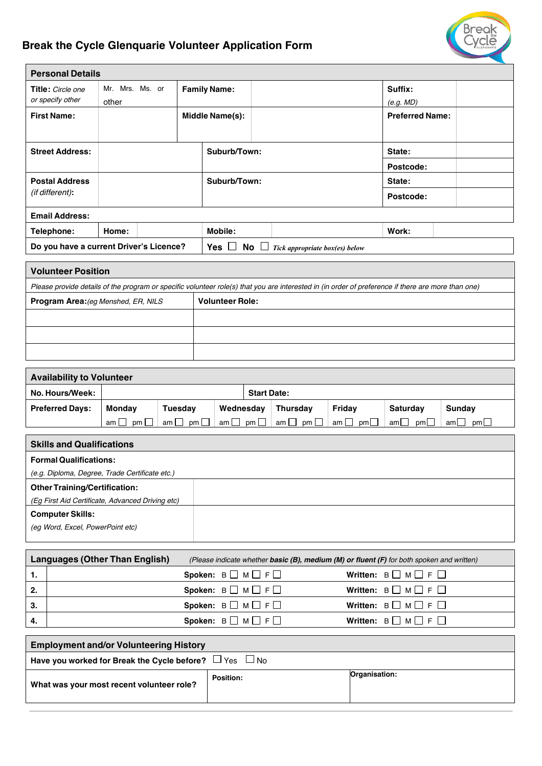# **Break the Cycle Glenquarie Volunteer Application Form**

| <b>Personal Details</b>               |                          |  |                     |                 |           |           |                        |  |
|---------------------------------------|--------------------------|--|---------------------|-----------------|-----------|-----------|------------------------|--|
| Title: Circle one<br>or specify other | Mr. Mrs. Ms. or<br>other |  | <b>Family Name:</b> |                 |           |           | Suffix:<br>(e.g. MD)   |  |
| <b>First Name:</b>                    |                          |  |                     | Middle Name(s): |           |           | <b>Preferred Name:</b> |  |
| <b>Street Address:</b>                |                          |  | Suburb/Town:        |                 | State:    |           |                        |  |
|                                       |                          |  |                     |                 | Postcode: |           |                        |  |
| <b>Postal Address</b>                 |                          |  |                     | Suburb/Town:    |           | State:    |                        |  |
| (if different):                       |                          |  |                     |                 |           | Postcode: |                        |  |
| <b>Email Address:</b>                 |                          |  |                     |                 |           |           |                        |  |
| Tolonhono:                            | $L_{\rm A}$              |  |                     | Mobile:         |           |           | Mork:                  |  |

| Telephone:                              | Home: | Mobile:                   |                                | Work. |  |
|-----------------------------------------|-------|---------------------------|--------------------------------|-------|--|
| Do you have a current Driver's Licence? |       | $No$ $\Box$<br><b>Yes</b> | Tick appropriate box(es) below |       |  |

| <b>Volunteer Position</b>                                                                                                                          |                        |  |  |  |  |  |
|----------------------------------------------------------------------------------------------------------------------------------------------------|------------------------|--|--|--|--|--|
| Please provide details of the program or specific volunteer role(s) that you are interested in (in order of preference if there are more than one) |                        |  |  |  |  |  |
| <b>Program Area:</b> (eg Menshed, ER, NILS)                                                                                                        | <b>Volunteer Role:</b> |  |  |  |  |  |
|                                                                                                                                                    |                        |  |  |  |  |  |
|                                                                                                                                                    |                        |  |  |  |  |  |
|                                                                                                                                                    |                        |  |  |  |  |  |

| <b>Availability to Volunteer</b> |                 |                |           |                    |                     |                            |             |             |
|----------------------------------|-----------------|----------------|-----------|--------------------|---------------------|----------------------------|-------------|-------------|
| No. Hours/Week:                  |                 |                |           | <b>Start Date:</b> |                     |                            |             |             |
| <b>Preferred Days:</b>           | Mondav          | <b>Tuesdav</b> | Wednesday |                    | <b>Thursdav</b>     | Fridav                     | Saturday    | Sunday      |
|                                  | am I i<br>pm II | amll<br>pm II  | am ∟      | pm II              | am $\Box$ pm $\Box$ | am $\square$<br>$\cdot$ pm | am∟.<br>pml | pm<br>aml . |

| <b>Skills and Qualifications</b>                 |  |  |  |  |
|--------------------------------------------------|--|--|--|--|
| <b>Formal Qualifications:</b>                    |  |  |  |  |
| (e.g. Diploma, Degree, Trade Certificate etc.)   |  |  |  |  |
| <b>Other Training/Certification:</b>             |  |  |  |  |
| (Eg First Aid Certificate, Advanced Driving etc) |  |  |  |  |
| <b>Computer Skills:</b>                          |  |  |  |  |
| (eg Word, Excel, PowerPoint etc)                 |  |  |  |  |
|                                                  |  |  |  |  |

|                   | <b>Languages (Other Than English)</b> |                                         | (Please indicate whether <b>basic (B), medium (M) or fluent (F)</b> for both spoken and written) |
|-------------------|---------------------------------------|-----------------------------------------|--------------------------------------------------------------------------------------------------|
| $\blacksquare$ 1. |                                       | Spoken: $B \square M \square F \square$ | Written: $B \square M \square F \square$                                                         |
| -2.               |                                       | Spoken: $B \square M \square F \square$ | Written: $B \square M \square F \square$                                                         |
| -3.               |                                       | Spoken: $B \square M \square F \square$ | Written: $B \square M \square F \square$                                                         |
|                   |                                       | Spoken: $B \square M \square F \square$ | Written: $B \square M \square F \square$                                                         |

| <b>Employment and/or Volunteering History</b>                    |                  |               |  |  |  |
|------------------------------------------------------------------|------------------|---------------|--|--|--|
| Have you worked for Break the Cycle before? $\Box$ Yes $\Box$ No |                  |               |  |  |  |
| What was your most recent volunteer role?                        | <b>Position:</b> | Organisation: |  |  |  |